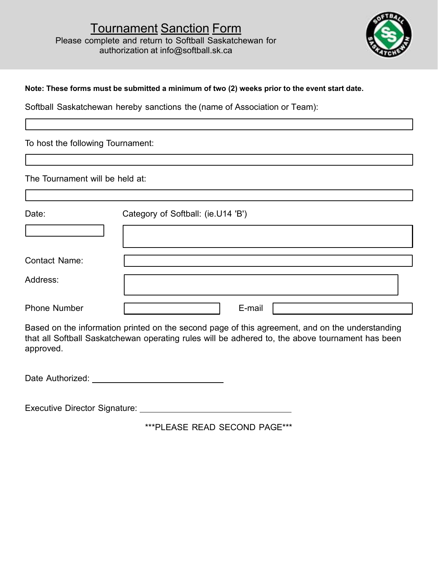

## Note: These forms must be submitted a minimum of two (2) weeks prior to the event start date.

|                                   | <b>Tournament Sanction Form</b><br>Please complete and return to Softball Saskatchewan for<br>authorization at info@softball.sk.ca                                                                  |        |  |  |
|-----------------------------------|-----------------------------------------------------------------------------------------------------------------------------------------------------------------------------------------------------|--------|--|--|
|                                   | Note: These forms must be submitted a minimum of two (2) weeks prior to the event start date.                                                                                                       |        |  |  |
|                                   | Softball Saskatchewan hereby sanctions the (name of Association or Team):                                                                                                                           |        |  |  |
| To host the following Tournament: |                                                                                                                                                                                                     |        |  |  |
|                                   |                                                                                                                                                                                                     |        |  |  |
| The Tournament will be held at:   |                                                                                                                                                                                                     |        |  |  |
| Date:                             | Category of Softball: (ie.U14 'B')                                                                                                                                                                  |        |  |  |
|                                   |                                                                                                                                                                                                     |        |  |  |
| <b>Contact Name:</b>              |                                                                                                                                                                                                     |        |  |  |
| Address:                          |                                                                                                                                                                                                     |        |  |  |
| <b>Phone Number</b>               |                                                                                                                                                                                                     | E-mail |  |  |
| approved.                         | Based on the information printed on the second page of this agreement, and on the understanding<br>that all Softball Saskatchewan operating rules will be adhered to, the above tournament has been |        |  |  |
|                                   |                                                                                                                                                                                                     |        |  |  |
|                                   |                                                                                                                                                                                                     |        |  |  |
|                                   | ***PLEASE READ SECOND PAGE***                                                                                                                                                                       |        |  |  |
|                                   |                                                                                                                                                                                                     |        |  |  |
|                                   |                                                                                                                                                                                                     |        |  |  |